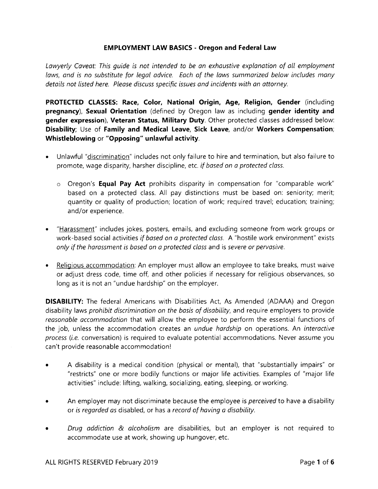## EMPLOYMENT LAW BASICS - Oregon and Federal Law

Lawyerly Caveat: This quide is not intended to be an exhaustive explanation of all employment laws, and is no substitute for legal advice. Each of the laws summarized below includes many details not listed here. Please discuss specific issues and incidents with an ottorney.

PROTECTED CLASSES: Race, Color, National Origin, Age, Religion, Gender (including pregnancy), Sexual Orientation (defined by Oregon law as including gender identity and gender expression), Veteran Status, Military Duty. Other protected classes addressed below: Disability; Use of Family and Medical Leave, Sick Leave, and/or Workers Compensation; Whistleblowing or "Opposing" unlawful activity.

- . Unlawful "discrimination" includes not only failure to hire and termination, but also failure to promote, wage disparity, harsher discipline, etc. if based on a protected class.
	- o Oregon's **Equal Pay Act** prohibits disparity in compensation for "comparable work" based on a protected class. All pay distinctions must be based on: seniority; merit; quantity or quality of production; location of work; required travel; education; training; and/or experience.
- "Harassment" includes jokes, posters, emails, and excluding someone from work groups or work-based social activities if based on a protected class. A "hostile work environment" exists only if the harassment is based on a protected class and is severe or pervasive.
- Religious accommodation: An employer must allow an employee to take breaks, must waive or adjust dress code, time off, and other policies if necessary for religious observances, so long as it is not an "undue hardship" on the employer.

**DISABILITY:** The federal Americans with Disabilities Act, As Amended (ADAAA) and Oregon disability laws *prohibit discrimination on the basis of disability*, and require employers to provide reasonable accommodation that will allow the employee to perform the essential functions of the job, unless the accommodation creates an *undue hardship* on operations. An *interactive* process (i.e. conversation) is required to evaluate potential accommodations. Never assume you can't provide reasonable accommodationl

- A disability is a medical condition (physical or mental), that "substantially impairs" or "restricts" one or more bodily functions or major life activities. Examples of "major life activities" include: lifting, walking, socializing, eating, sleeping, or working.
- An employer may not discriminate because the employee is perceived to have a disability or is regorded as disabled, or has a record of having a disability.
- Drug addiction & alcoholism are disabilities, but an employer is not required to accommodate use at work, showing up hungover, etc.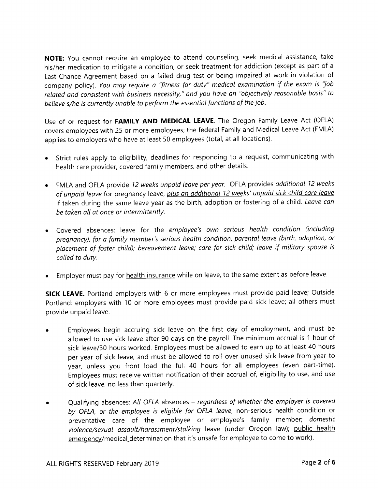NOTE: You cannot require an employee to attend counseling, seek medical assistance, take his/her medication to mitigate a condition, or seek treatment for addiction (except as part of <sup>a</sup> Last Chance Agreement based on a failed drug test or being impaired at work in violation of company policy). You may require a "fitness for duty" medical examination if the exam is "job related ond consistent with business necessity," ond you have an "objectively reasonoble bosis" to believe s/he is currently unable to perform the essential functions of the job.

Use of or request for FAMILY AND MEDICAL LEAVE. The Oregon Family Leave Act (OFLA) covers employees with 25 or more employees; the federal Family and Medical Leave Act (FMLA) applies to employers who have at least 50 employees (total, at all locations).

- o Strict rules apply to eligibility, deadlines for responding to a request, communicating with health care provider, covered family members, and other details.
- FMLA and OFLA provide 12 weeks unpaid leave per year. OFLA provides additional 12 weeks of unpaid leave for pregnancy leave, plus an additional 12 weeks' unpaid sick child care leave if taken during the same leave year as the birth, adoption or fostering of a child. Leave can be taken all at once or intermittently.
- Covered absences: leave for the employee's own serious heolth condition (including pregnancy), for a family member's serious health condition, parental leave (birth, adoption, or placement of foster child); bereavement leave; care for sick child; leave if military spouse is colled to duty.
- Employer must pay for health insurance while on leave, to the same extent as before leave.

SICK LEAVE. Portland employers with 6 or more employees must provide paid leave; Outside Portland: employers with 10 or more employees must provide paid sick leave; all others must provide unpaid leave.

- Employees begin accruing sick leave on the first day of employment, and must be allowed to use sick leave after 90 days on the payroll. The minimum accrual is 1 hour of sick leave/3O hours worked. Employees must be allowed to earn up to at least 40 hours per year of sick leave, and must be allowed to roll over unused sick leave from year to year, unless you front load the full 40 hours for all employees (even part-time). Employees must receive written notification of their accrual of, eligibility to use, and use of sick leave, no less than quarterly.
- Qualifying absences: All OFLA absences regardless of whether the employer is covered by OFLA, or the employee is eligible for OFLA leave; non-serious health condition or preventative care of the employee or employee's family member; domestic violence/sexual assault/harassment/stalking leave (under Oregon law); public health emergency/medical\_determination that it's unsafe for employee to come to work).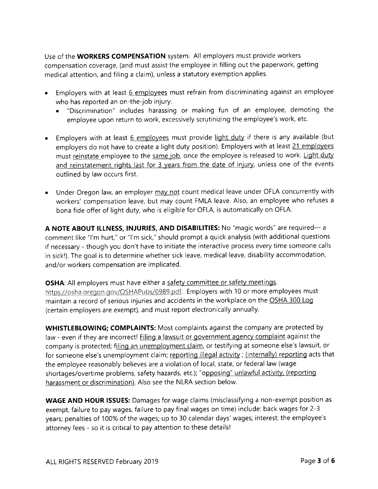Use of the **WORKERS COMPENSATION** system. All employers must provide workers compensation coverage, (and must assist the employee in filling out the paperwork, getting medical attention, and filing a claim), unless a statutory exemption applies.

- . Employers with at least 6 employees must refrain from discriminating against an employee who has reported an on-the-job injury.
	- o "Discrimination" includes harassing or making fun of an employee, demoting the employee upon return to work, excessively scrutinizing the employee's work, etc.
- Employers with at least 6 employees must provide light duty if there is any available (but employers do not have to create a light duty position). Employers with at least 21 employees must reinstate employee to the same job, once the employee is released to work. Light duty and reinstatement rights last for 3 years from the date of injury, unless one of the events outlined by law occurs first.
- Under Oregon law, an employer may not count medical leave under OFLA concurrently with workers' compensation leave, but may count FMLA leave. Also, an employee who refuses <sup>a</sup> bona fide offer of light duty, who is eligible for OFLA, is automatically on OFLA.

A NOTE ABOUT ILLNESS, INJURIES, AND DISABILITIES: No "magic words" are required- a comment like "l'm hurt," or "l'm sick," should prompt a quick analysis (with additional questions if necessary - though you don't have to initiate the interactive process every time someone calls in sick!). The goal is to determine whether sick leave, medical leave, disability accommodation, and/or workers compensation are implicated.

**OSHA:** All employers must have either a safety committee or safety meetings. https://osha.oregon.gov/OSHAPubs/0989.pdf. Employers with 10 or more employees must maintain a record of serious injuries and accidents in the workplace on the OSHA 300 Log (certain employers are exempt), and must report electronically annually.

WHISTLEBLOWING; COMPLAINTS: Most complaints against the company are protected by law - even if they are incorrect! Filing a lawsuit or government agency complaint against the company is protected; filing an unemployment claim, or testifying at someone else's lawsuit, or for someone else's unemployment claim; reporting illegal activity; (internally) reporting acts that the employee reasonably believes are a violation of local, state, or federal law (wage shortages/overtime problems, safety hazards, etc.); "opposing" unlawful activity, (reporting harassment or discrimination). Also see the NLRA section below.

WAGE AND HOUR ISSUES: Damages for wage claims (misclassifying a non-exempt position as exempt, failure to pay wages, failure to pay final wages on time) include: back wages for 2-3 years; penalties of 1OO% of the wages; up to 30 calendar days'wages; interest; the employee's attorney fees - so it is critical to pay attention to these details!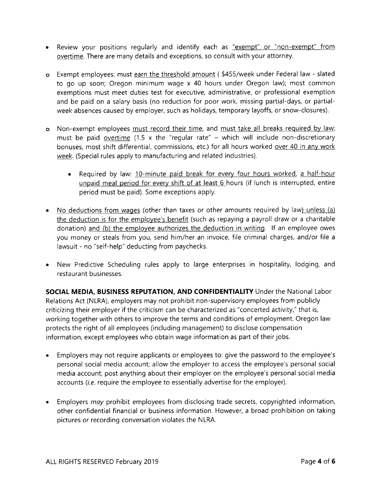- Review your positions regularly and identify each as "exempt" or "non-exempt" from overtime. There are many details and exceptions, so consult with your attorney.
- o Exempt employees: must earn the threshold amount (\$455/week under Federal law slated to go up soon; Oregon minimum wage x 40 hours under Oregon law); most common exemptions must meet duties test for executive, administrative, or professional exemption and be paid on a salary basis (no reduction for poor work, missing partial-days, or partialweek absences caused by employer, such as holidays, temporary layoffs, or snow-closures).
- o Non-exempt employees must record their time, and must take all breaks required by law; must be paid overtime (1.5 x the "regular rate" - which will include non-discretionary bonuses, most shift differential, commissions, etc.) for all hours worked over 40 in any work week. (Special rules apply to manufacturing and related industries).
	- . Required by law: 1O-minute paid break for every four hours worked, a half-hour unpaid meal period for every shift of at least 6 hours (if lunch is interrupted, entire period must be paid). Some exceptions apply.
- No deductions from wages (other than taxes or other amounts required by law) unless (a) the deduction is for the employee's benefit (such as repaying a payroll draw or a charitable donation) and (b) the employee authorizes the deduction in writing. If an employee owes you money or steals from you, send him/her an invoice, file criminal charges, and/or file <sup>a</sup> lawsuit - no "self-help" deducting from paychecks.
- o New Predictive Scheduling rules apply to large enterprises in hospitality, lodging, and restaurant businesses.

SOCIAL MEDIA, BUSINESS REPUTATION, AND CONFIDENTIALITY Under the National Labor Relations Act (NLRA), employers may not prohibit non-supervisory employees from publicly criticizing their employer if the criticism can be characterized as "concerted activity," that is, working together with others to improve the terms and conditions of employment. Oregon law protects the right of all employees (including management) to disclose compensation information, except employees who obtain wage information as part of their jobs.

- . Employers may not require applicants or employees to: give the password to the employee's personal social media account; allow the employer to access the employee's personal social media account; post anything about their employer on the employee's personal social media accounts (*i.e.* require the employee to essentially advertise for the employer).
- . Employers may prohibit employees from disclosing trade secrets, copyrighted information, other confidential financial or business information. However, a broad prohibition on taking pictures or recording conversation violates the NLRA.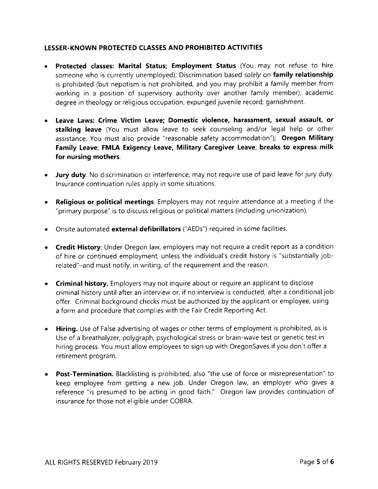## LESSER.KNOWN PROTECTED CLASSES AND PROH!BITED ACTIVITIES

- . Protected classes: Marital Status; Employment Status (You may not refuse to hire someone who is currently unemployed); Discrimination based solely on family relationship is prohibited (but nepotism is not prohibited, and you may prohibit a family member from working in a position of supervisory authority over another family member); academic degree in theology or religious occupation; expunged juvenile record; garnishment.
- Leave Laws: Crime Victim Leave; Domestic violence, harassment, sexual assault, or stalking leave (You must allow leave to seek counseling and/or legal help or other assistance. You must also provide "reasonable safety accommodation"); Oregon Military Family Leave; FMLA Exigency Leave, Military Caregiver Leave; breaks to express milk for nursing mothers.
- . Jury duty. No discrimination or interference, may not require use of paid leave for jury duty. lnsurance continuation rules apply in some situations.
- . Religious or political meetings. Employers may not require attendance at a meeting if the "primary purpose" is to discuss religious or political matters (including unionization).
- . Onsite automated external defibrillators ("AEDs") required in some facilities.
- Credit History: Under Oregon law, employers may not require a credit report as a condition of hire or continued employment, unless the individual's credit history is "substantially jobrelated"-and must notify, in writing, of the requirement and the reason.
- **.** Criminal history. Employers may not inquire about or require an applicant to disclose criminal history until after an interview or, if no interview is conducted, after a conditional job offer. Criminal background checks must be authorized by the applicant or employee, using a form and procedure that complies with the Fair Credit Reporting Act.
- **Hiring.** Use of False advertising of wages or other terms of employment is prohibited, as is Use of a breathalyzer, polygraph, psychological stress or brain-wave test or genetic test in hiring process. You must allow employees to sign up with OregonSaves if you don't offer <sup>a</sup> retirement program.
- Post-Termination. Blacklisting is prohibited, also "the use of force or misrepresentation" to keep employee from getting a new job. Under Oregon law, an employer who gives <sup>a</sup> reference "is presumed to be acting in good faith." Oregon law provides continuation of insurance for those not eligible under COBRA.